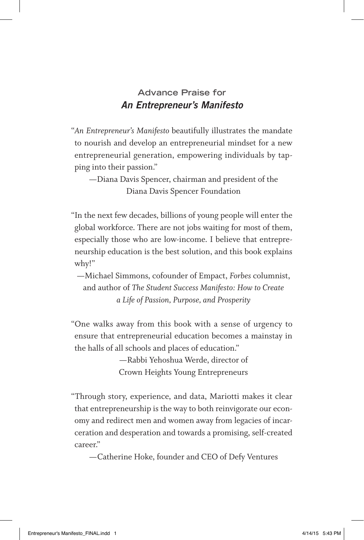## **Advance Praise for**  *An Entrepreneur's Manifesto*

"*An Entrepreneur's Manifesto* beautifully illustrates the mandate to nourish and develop an entrepreneurial mindset for a new entrepreneurial generation, empowering individuals by tapping into their passion."

—Diana Davis Spencer, chairman and president of the Diana Davis Spencer Foundation

"In the next few decades, billions of young people will enter the global workforce. There are not jobs waiting for most of them, especially those who are low-income. I believe that entrepreneurship education is the best solution, and this book explains why!"

—Michael Simmons, cofounder of Empact, *Forbes* columnist, and author of *The Student Success Manifesto: How to Create a Life of Passion, Purpose, and Prosperity*

"One walks away from this book with a sense of urgency to ensure that entrepreneurial education becomes a mainstay in the halls of all schools and places of education."

> —Rabbi Yehoshua Werde, director of Crown Heights Young Entrepreneurs

"Through story, experience, and data, Mariotti makes it clear that entrepreneurship is the way to both reinvigorate our economy and redirect men and women away from legacies of incarceration and desperation and towards a promising, self-created career."

—Catherine Hoke, founder and CEO of Defy Ventures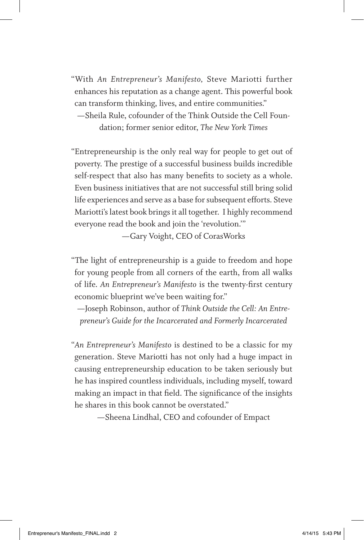"With *An Entrepreneur's Manifesto,* Steve Mariotti further enhances his reputation as a change agent. This powerful book can transform thinking, lives, and entire communities." —Sheila Rule, cofounder of the Think Outside the Cell Foundation; former senior editor, *The New York Times*

"Entrepreneurship is the only real way for people to get out of poverty. The prestige of a successful business builds incredible self-respect that also has many benefits to society as a whole. Even business initiatives that are not successful still bring solid life experiences and serve as a base for subsequent efforts. Steve Mariotti's latest book brings it all together. I highly recommend everyone read the book and join the 'revolution.'"

—Gary Voight, CEO of CorasWorks

"The light of entrepreneurship is a guide to freedom and hope for young people from all corners of the earth, from all walks of life. *An Entrepreneur's Manifesto* is the twenty-first century economic blueprint we've been waiting for."

—Joseph Robinson, author of *Think Outside the Cell: An Entrepreneur's Guide for the Incarcerated and Formerly Incarcerated*

"*An Entrepreneur's Manifesto* is destined to be a classic for my generation. Steve Mariotti has not only had a huge impact in causing entrepreneurship education to be taken seriously but he has inspired countless individuals, including myself, toward making an impact in that field. The significance of the insights he shares in this book cannot be overstated."

—Sheena Lindhal, CEO and cofounder of Empact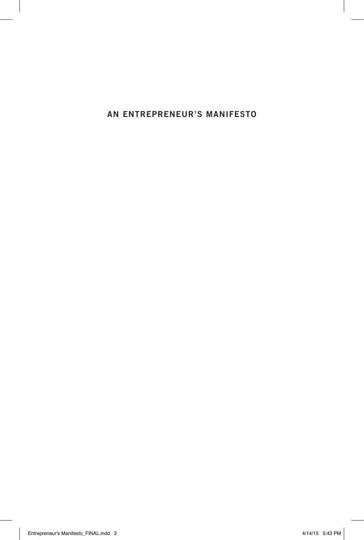AN ENTREPRENEUR'S MANIFESTO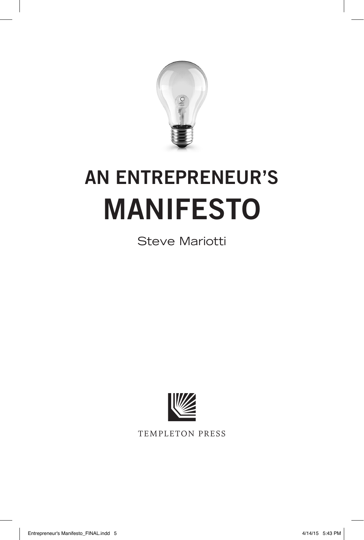

# AN ENTREPRENEUR'S MANIFESTO

Steve Mariotti



TEMPLETON PRESS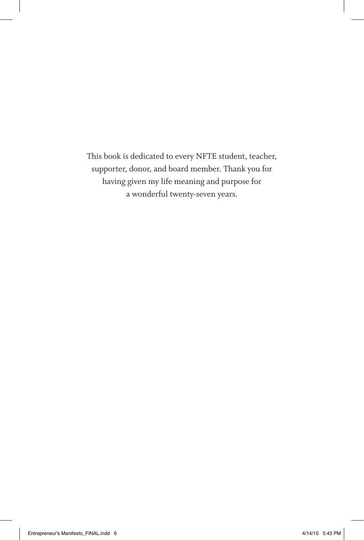This book is dedicated to every NFTE student, teacher, supporter, donor, and board member. Thank you for having given my life meaning and purpose for a wonderful twenty-seven years.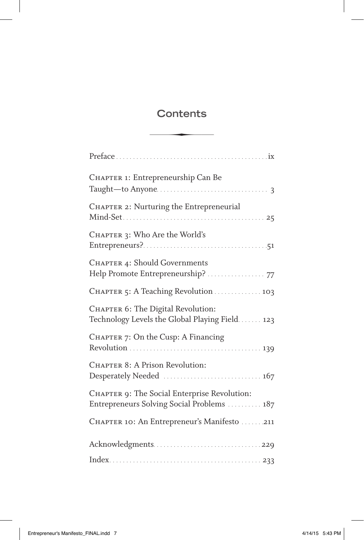## **Contents**

:7:

| CHAPTER 1: Entrepreneurship Can Be                                                         |
|--------------------------------------------------------------------------------------------|
| CHAPTER 2: Nurturing the Entrepreneurial                                                   |
| CHAPTER 3: Who Are the World's                                                             |
| CHAPTER 4: Should Governments<br>Help Promote Entrepreneurship?  77                        |
| CHAPTER 5: A Teaching Revolution  103                                                      |
| CHAPTER 6: The Digital Revolution:<br>Technology Levels the Global Playing Field. 123      |
| CHAPTER 7: On the Cusp: A Financing                                                        |
| CHAPTER 8: A Prison Revolution:                                                            |
| CHAPTER 9: The Social Enterprise Revolution:<br>Entrepreneurs Solving Social Problems  187 |
| CHAPTER 10: An Entrepreneur's Manifesto  211                                               |
|                                                                                            |
|                                                                                            |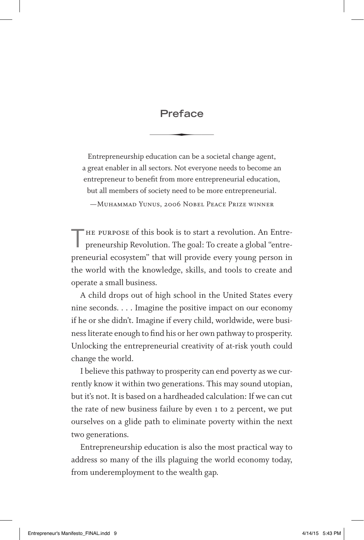## **Preface**

:7:

Entrepreneurship education can be a societal change agent, a great enabler in all sectors. Not everyone needs to become an entrepreneur to benefit from more entrepreneurial education, but all members of society need to be more entrepreneurial.

—Muhammad Yunus, 2006 Nobel Peace Prize winner

The purpose of this book is to start a revolution. An Entre-preneurship Revolution. The goal: To create a global "entrepreneurial ecosystem" that will provide every young person in the world with the knowledge, skills, and tools to create and operate a small business.

A child drops out of high school in the United States every nine seconds. . . . Imagine the positive impact on our economy if he or she didn't. Imagine if every child, worldwide, were business literate enough to find his or her own pathway to prosperity. Unlocking the entrepreneurial creativity of at-risk youth could change the world.

I believe this pathway to prosperity can end poverty as we currently know it within two generations. This may sound utopian, but it's not. It is based on a hardheaded calculation: If we can cut the rate of new business failure by even 1 to 2 percent, we put ourselves on a glide path to eliminate poverty within the next two generations.

Entrepreneurship education is also the most practical way to address so many of the ills plaguing the world economy today, from underemployment to the wealth gap.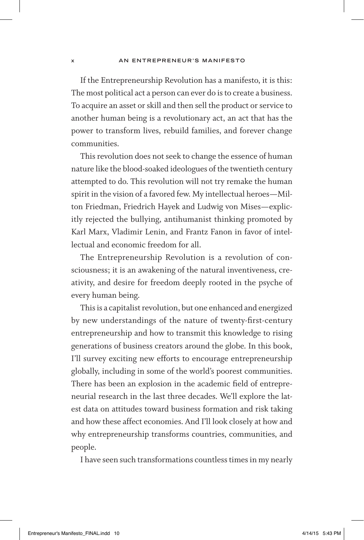If the Entrepreneurship Revolution has a manifesto, it is this: The most political act a person can ever do is to create a business. To acquire an asset or skill and then sell the product or service to another human being is a revolutionary act, an act that has the power to transform lives, rebuild families, and forever change communities.

This revolution does not seek to change the essence of human nature like the blood-soaked ideologues of the twentieth century attempted to do. This revolution will not try remake the human spirit in the vision of a favored few. My intellectual heroes—Milton Friedman, Friedrich Hayek and Ludwig von Mises—explicitly rejected the bullying, antihumanist thinking promoted by Karl Marx, Vladimir Lenin, and Frantz Fanon in favor of intellectual and economic freedom for all.

The Entrepreneurship Revolution is a revolution of consciousness; it is an awakening of the natural inventiveness, creativity, and desire for freedom deeply rooted in the psyche of every human being.

This is a capitalist revolution, but one enhanced and energized by new understandings of the nature of twenty-first-century entrepreneurship and how to transmit this knowledge to rising generations of business creators around the globe. In this book, I'll survey exciting new efforts to encourage entrepreneurship globally, including in some of the world's poorest communities. There has been an explosion in the academic field of entrepreneurial research in the last three decades. We'll explore the latest data on attitudes toward business formation and risk taking and how these affect economies. And I'll look closely at how and why entrepreneurship transforms countries, communities, and people.

I have seen such transformations countless times in my nearly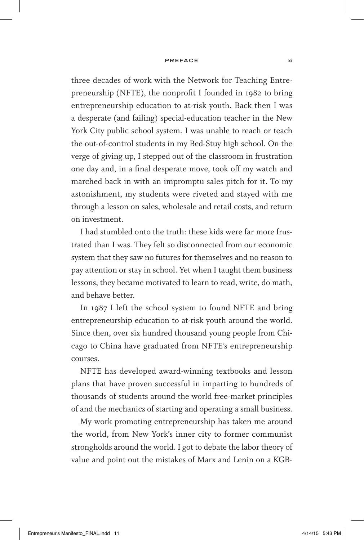#### **PREFACE xi**

three decades of work with the Network for Teaching Entrepreneurship (NFTE), the nonprofit I founded in 1982 to bring entrepreneurship education to at-risk youth. Back then I was a desperate (and failing) special-education teacher in the New York City public school system. I was unable to reach or teach the out-of-control students in my Bed-Stuy high school. On the verge of giving up, I stepped out of the classroom in frustration one day and, in a final desperate move, took off my watch and marched back in with an impromptu sales pitch for it. To my astonishment, my students were riveted and stayed with me through a lesson on sales, wholesale and retail costs, and return on investment.

I had stumbled onto the truth: these kids were far more frustrated than I was. They felt so disconnected from our economic system that they saw no futures for themselves and no reason to pay attention or stay in school. Yet when I taught them business lessons, they became motivated to learn to read, write, do math, and behave better.

In 1987 I left the school system to found NFTE and bring entrepreneurship education to at-risk youth around the world. Since then, over six hundred thousand young people from Chicago to China have graduated from NFTE's entrepreneurship courses.

NFTE has developed award-winning textbooks and lesson plans that have proven successful in imparting to hundreds of thousands of students around the world free-market principles of and the mechanics of starting and operating a small business.

My work promoting entrepreneurship has taken me around the world, from New York's inner city to former communist strongholds around the world. I got to debate the labor theory of value and point out the mistakes of Marx and Lenin on a KGB-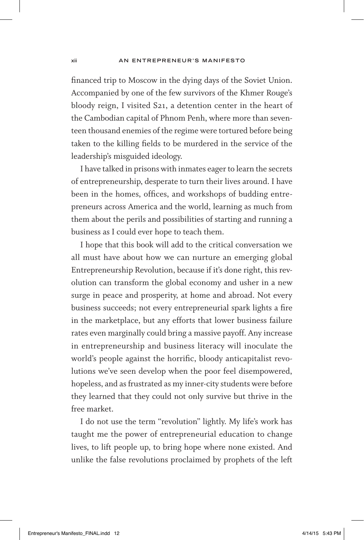financed trip to Moscow in the dying days of the Soviet Union. Accompanied by one of the few survivors of the Khmer Rouge's bloody reign, I visited S21, a detention center in the heart of the Cambodian capital of Phnom Penh, where more than seventeen thousand enemies of the regime were tortured before being taken to the killing fields to be murdered in the service of the leadership's misguided ideology.

I have talked in prisons with inmates eager to learn the secrets of entrepreneurship, desperate to turn their lives around. I have been in the homes, offices, and workshops of budding entrepreneurs across America and the world, learning as much from them about the perils and possibilities of starting and running a business as I could ever hope to teach them.

I hope that this book will add to the critical conversation we all must have about how we can nurture an emerging global Entrepreneurship Revolution, because if it's done right, this revolution can transform the global economy and usher in a new surge in peace and prosperity, at home and abroad. Not every business succeeds; not every entrepreneurial spark lights a fire in the marketplace, but any efforts that lower business failure rates even marginally could bring a massive payoff. Any increase in entrepreneurship and business literacy will inoculate the world's people against the horrific, bloody anticapitalist revolutions we've seen develop when the poor feel disempowered, hopeless, and as frustrated as my inner-city students were before they learned that they could not only survive but thrive in the free market.

I do not use the term "revolution" lightly. My life's work has taught me the power of entrepreneurial education to change lives, to lift people up, to bring hope where none existed. And unlike the false revolutions proclaimed by prophets of the left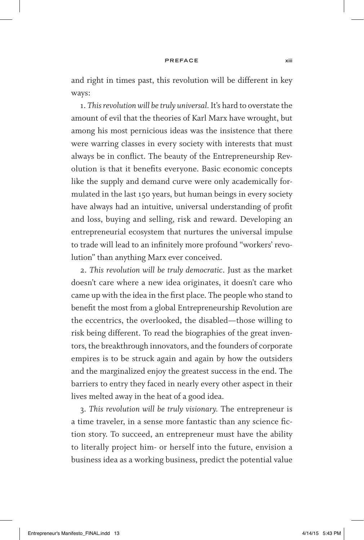#### **PREFACE xiii**

and right in times past, this revolution will be different in key ways:

1. *This revolution will be truly universal.* It's hard to overstate the amount of evil that the theories of Karl Marx have wrought, but among his most pernicious ideas was the insistence that there were warring classes in every society with interests that must always be in conflict. The beauty of the Entrepreneurship Revolution is that it benefits everyone. Basic economic concepts like the supply and demand curve were only academically formulated in the last 150 years, but human beings in every society have always had an intuitive, universal understanding of profit and loss, buying and selling, risk and reward. Developing an entrepreneurial ecosystem that nurtures the universal impulse to trade will lead to an infinitely more profound "workers' revolution" than anything Marx ever conceived.

2. *This revolution will be truly democratic*. Just as the market doesn't care where a new idea originates, it doesn't care who came up with the idea in the first place. The people who stand to benefit the most from a global Entrepreneurship Revolution are the eccentrics, the overlooked, the disabled—those willing to risk being different. To read the biographies of the great inventors, the breakthrough innovators, and the founders of corporate empires is to be struck again and again by how the outsiders and the marginalized enjoy the greatest success in the end. The barriers to entry they faced in nearly every other aspect in their lives melted away in the heat of a good idea.

3. *This revolution will be truly visionary.* The entrepreneur is a time traveler, in a sense more fantastic than any science fiction story. To succeed, an entrepreneur must have the ability to literally project him- or herself into the future, envision a business idea as a working business, predict the potential value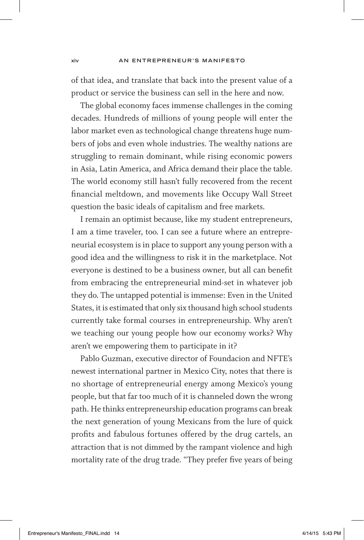of that idea, and translate that back into the present value of a product or service the business can sell in the here and now.

The global economy faces immense challenges in the coming decades. Hundreds of millions of young people will enter the labor market even as technological change threatens huge numbers of jobs and even whole industries. The wealthy nations are struggling to remain dominant, while rising economic powers in Asia, Latin America, and Africa demand their place the table. The world economy still hasn't fully recovered from the recent financial meltdown, and movements like Occupy Wall Street question the basic ideals of capitalism and free markets.

I remain an optimist because, like my student entrepreneurs, I am a time traveler, too. I can see a future where an entrepreneurial ecosystem is in place to support any young person with a good idea and the willingness to risk it in the marketplace. Not everyone is destined to be a business owner, but all can benefit from embracing the entrepreneurial mind-set in whatever job they do. The untapped potential is immense: Even in the United States, it is estimated that only six thousand high school students currently take formal courses in entrepreneurship. Why aren't we teaching our young people how our economy works? Why aren't we empowering them to participate in it?

Pablo Guzman, executive director of Foundacion and NFTE's newest international partner in Mexico City, notes that there is no shortage of entrepreneurial energy among Mexico's young people, but that far too much of it is channeled down the wrong path. He thinks entrepreneurship education programs can break the next generation of young Mexicans from the lure of quick profits and fabulous fortunes offered by the drug cartels, an attraction that is not dimmed by the rampant violence and high mortality rate of the drug trade. "They prefer five years of being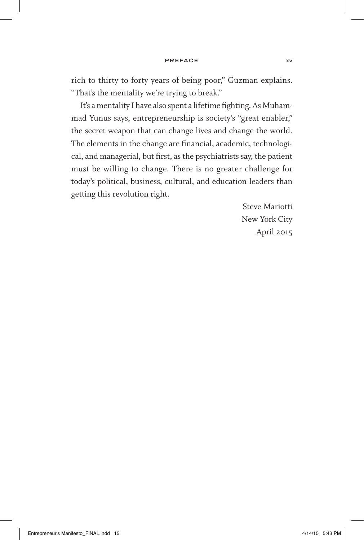#### **PREFACE xv**

rich to thirty to forty years of being poor," Guzman explains. "That's the mentality we're trying to break."

It's a mentality I have also spent a lifetime fighting. As Muhammad Yunus says, entrepreneurship is society's "great enabler," the secret weapon that can change lives and change the world. The elements in the change are financial, academic, technological, and managerial, but first, as the psychiatrists say, the patient must be willing to change. There is no greater challenge for today's political, business, cultural, and education leaders than getting this revolution right.

> Steve Mariotti New York City April 2015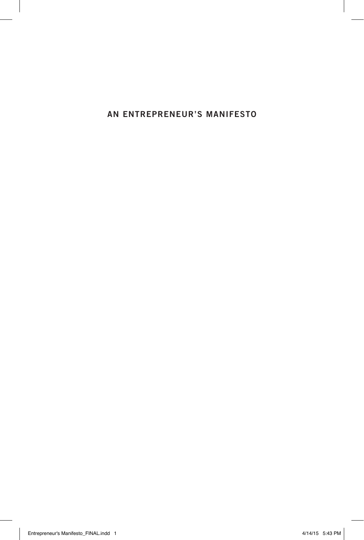AN ENTREPRENEUR'S MANIFESTO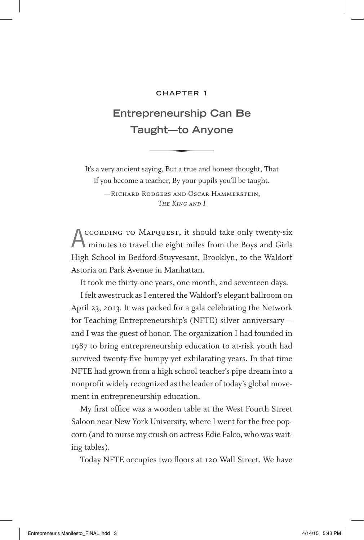#### **CHAPTER 1**

# **Entrepreneurship Can Be Taught—to Anyone**

:7:

It's a very ancient saying, But a true and honest thought, That if you become a teacher, By your pupils you'll be taught. —Richard Rodgers and Oscar Hammerstein, *The King and I*

According to Mapquest, it should take only twenty-six minutes to travel the eight miles from the Boys and Girls High School in Bedford-Stuyvesant, Brooklyn, to the Waldorf Astoria on Park Avenue in Manhattan.

It took me thirty-one years, one month, and seventeen days.

I felt awestruck as I entered the Waldorf's elegant ballroom on April 23, 2013. It was packed for a gala celebrating the Network for Teaching Entrepreneurship's (NFTE) silver anniversary and I was the guest of honor. The organization I had founded in 1987 to bring entrepreneurship education to at-risk youth had survived twenty-five bumpy yet exhilarating years. In that time NFTE had grown from a high school teacher's pipe dream into a nonprofit widely recognized as the leader of today's global movement in entrepreneurship education.

My first office was a wooden table at the West Fourth Street Saloon near New York University, where I went for the free popcorn (and to nurse my crush on actress Edie Falco, who was waiting tables).

Today NFTE occupies two floors at 120 Wall Street. We have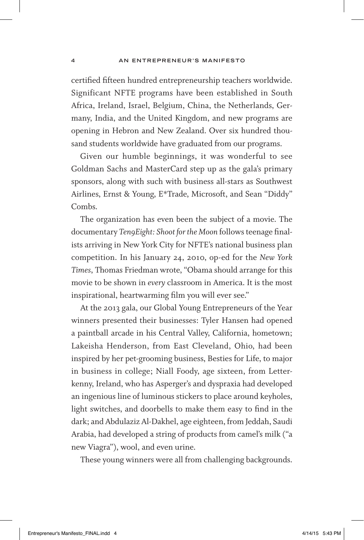certified fifteen hundred entrepreneurship teachers worldwide. Significant NFTE programs have been established in South Africa, Ireland, Israel, Belgium, China, the Netherlands, Germany, India, and the United Kingdom, and new programs are opening in Hebron and New Zealand. Over six hundred thousand students worldwide have graduated from our programs.

Given our humble beginnings, it was wonderful to see Goldman Sachs and MasterCard step up as the gala's primary sponsors, along with such with business all-stars as Southwest Airlines, Ernst & Young, E\*Trade, Microsoft, and Sean "Diddy" Combs.

The organization has even been the subject of a movie. The documentary *Ten9Eight: Shoot for the Moon* follows teenage finalists arriving in New York City for NFTE's national business plan competition. In his January 24, 2010, op-ed for the *New York Times*, Thomas Friedman wrote, "Obama should arrange for this movie to be shown in *every* classroom in America. It is the most inspirational, heartwarming film you will ever see."

At the 2013 gala, our Global Young Entrepreneurs of the Year winners presented their businesses: Tyler Hansen had opened a paintball arcade in his Central Valley, California, hometown; Lakeisha Henderson, from East Cleveland, Ohio, had been inspired by her pet-grooming business, Besties for Life, to major in business in college; Niall Foody, age sixteen, from Letterkenny, Ireland, who has Asperger's and dyspraxia had developed an ingenious line of luminous stickers to place around keyholes, light switches, and doorbells to make them easy to find in the dark; and Abdulaziz Al-Dakhel, age eighteen, from Jeddah, Saudi Arabia, had developed a string of products from camel's milk ("a new Viagra"), wool, and even urine.

These young winners were all from challenging backgrounds.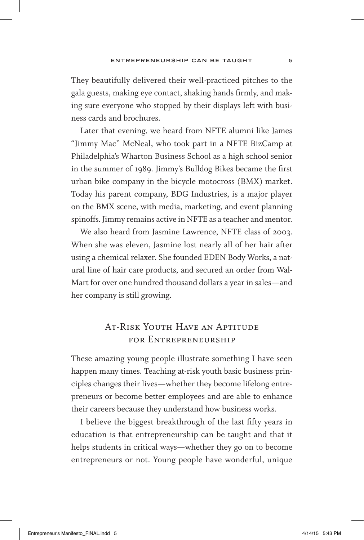They beautifully delivered their well-practiced pitches to the gala guests, making eye contact, shaking hands firmly, and making sure everyone who stopped by their displays left with business cards and brochures.

Later that evening, we heard from NFTE alumni like James "Jimmy Mac" McNeal, who took part in a NFTE BizCamp at Philadelphia's Wharton Business School as a high school senior in the summer of 1989. Jimmy's Bulldog Bikes became the first urban bike company in the bicycle motocross (BMX) market. Today his parent company, BDG Industries, is a major player on the BMX scene, with media, marketing, and event planning spinoffs. Jimmy remains active in NFTE as a teacher and mentor.

We also heard from Jasmine Lawrence, NFTE class of 2003. When she was eleven, Jasmine lost nearly all of her hair after using a chemical relaxer. She founded EDEN Body Works, a natural line of hair care products, and secured an order from Wal-Mart for over one hundred thousand dollars a year in sales—and her company is still growing.

## At-Risk Youth Have an Aptitude for Entrepreneurship

These amazing young people illustrate something I have seen happen many times. Teaching at-risk youth basic business principles changes their lives—whether they become lifelong entrepreneurs or become better employees and are able to enhance their careers because they understand how business works.

I believe the biggest breakthrough of the last fifty years in education is that entrepreneurship can be taught and that it helps students in critical ways—whether they go on to become entrepreneurs or not. Young people have wonderful, unique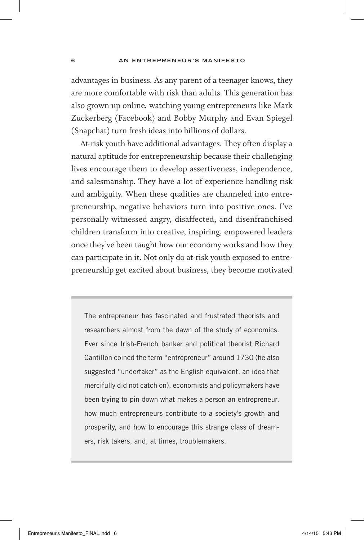advantages in business. As any parent of a teenager knows, they are more comfortable with risk than adults. This generation has also grown up online, watching young entrepreneurs like Mark Zuckerberg (Facebook) and Bobby Murphy and Evan Spiegel (Snapchat) turn fresh ideas into billions of dollars.

At-risk youth have additional advantages. They often display a natural aptitude for entrepreneurship because their challenging lives encourage them to develop assertiveness, independence, and salesmanship. They have a lot of experience handling risk and ambiguity. When these qualities are channeled into entrepreneurship, negative behaviors turn into positive ones. I've personally witnessed angry, disaffected, and disenfranchised children transform into creative, inspiring, empowered leaders once they've been taught how our economy works and how they can participate in it. Not only do at-risk youth exposed to entrepreneurship get excited about business, they become motivated

The entrepreneur has fascinated and frustrated theorists and researchers almost from the dawn of the study of economics. Ever since Irish-French banker and political theorist Richard Cantillon coined the term "entrepreneur" around 1730 (he also suggested "undertaker" as the English equivalent, an idea that mercifully did not catch on), economists and policymakers have been trying to pin down what makes a person an entrepreneur, how much entrepreneurs contribute to a society's growth and prosperity, and how to encourage this strange class of dreamers, risk takers, and, at times, troublemakers.